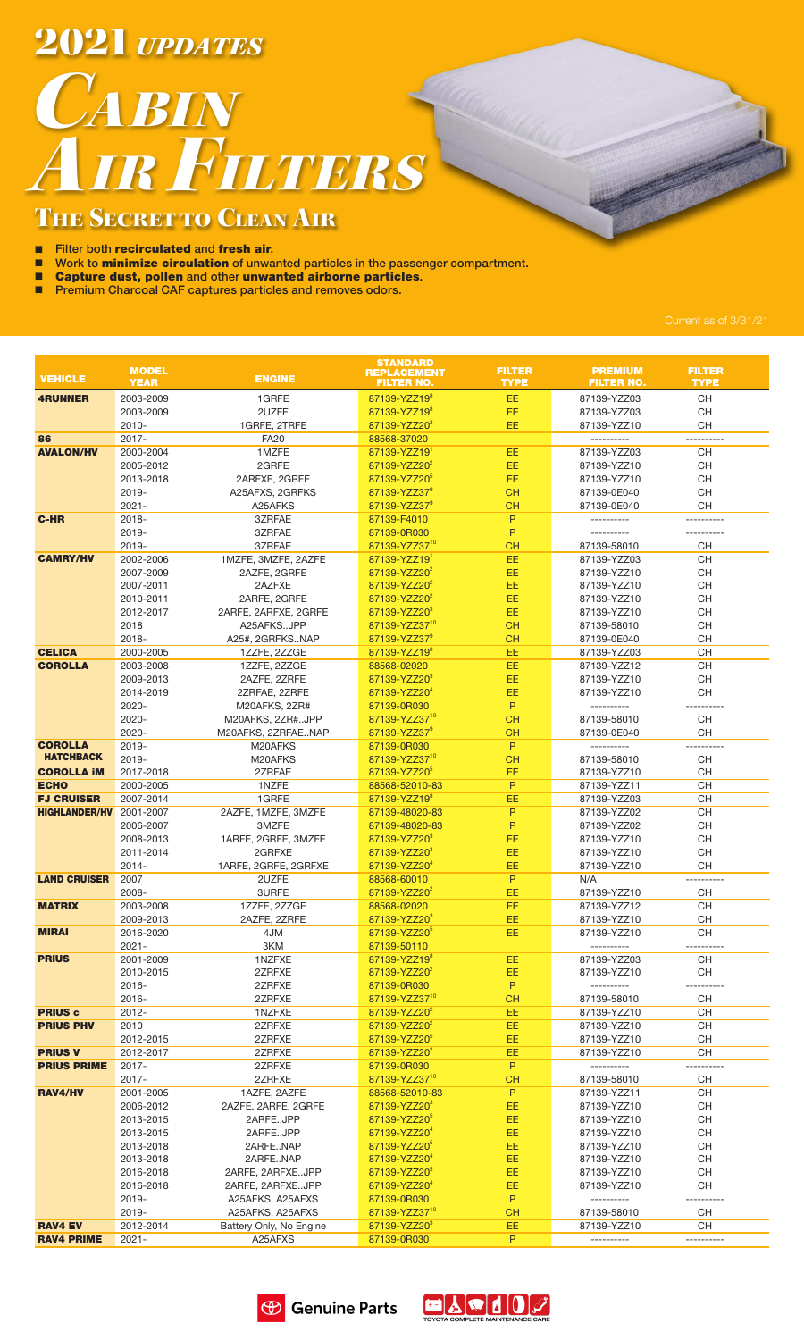**2021** *UPDATES* 

## **CABIN** AIR FILTERS

## THE SECRET TO CLEAN AIR

- **E** Filter both **recirculated** and **fresh air.**<br>**E** Work to **minimize circulation** of unwa
- Work to minimize circulation of unwanted particles in the passenger compartment.
- **E** Capture dust, pollen and other unwanted airborne particles.
- $\blacksquare$  Premium Charcoal CAF captures particles and removes odors.

|                      | <b>MODEL</b>           |                                        | <b>STANDARD</b><br><b>REPLACEMENT</b>                 | <b>FILTER</b>          | <b>PREMIUM</b>             | <b>FILTER</b>    |
|----------------------|------------------------|----------------------------------------|-------------------------------------------------------|------------------------|----------------------------|------------------|
| <b>VEHICLE</b>       | <b>YEAR</b>            | <b>ENGINE</b>                          | <b>FILTER NO.</b>                                     | <b>TYPE</b>            | <b>FILTER NO.</b>          | <b>TYPE</b>      |
| <b>4RUNNER</b>       | 2003-2009              | 1GRFE                                  | 87139-YZZ19 <sup>8</sup>                              | EE                     | 87139-YZZ03                | CH               |
|                      | 2003-2009              | 2UZFE                                  | 87139-YZZ19 <sup>8</sup>                              | EE                     | 87139-YZZ03                | <b>CH</b>        |
| 86                   | $2010 -$<br>$2017 -$   | 1GRFE, 2TRFE<br><b>FA20</b>            | 87139-YZZ20 <sup>2</sup><br>88568-37020               | EE                     | 87139-YZZ10<br>----------  | CH<br>---------- |
| <b>AVALON/HV</b>     | 2000-2004              | 1MZFE                                  | 87139-YZZ191                                          | EE                     | 87139-YZZ03                | CH               |
|                      | 2005-2012              | 2GRFE                                  | 87139-YZZ20 <sup>2</sup>                              | EE                     | 87139-YZZ10                | CH               |
|                      | 2013-2018              | 2ARFXE, 2GRFE                          | 87139-YZZ20 <sup>5</sup>                              | EE                     | 87139-YZZ10                | <b>CH</b>        |
|                      | 2019-                  | A25AFXS, 2GRFKS                        | 87139-YZZ37 <sup>9</sup>                              | <b>CH</b>              | 87139-0E040                | <b>CH</b>        |
|                      | $2021 -$               | A25AFKS                                | 87139-YZZ37 <sup>9</sup><br>87139-F4010               | <b>CH</b>              | 87139-0E040                | CH               |
| <b>C-HR</b>          | $2018 -$<br>2019-      | 3ZRFAE<br>3ZRFAE                       | 87139-0R030                                           | P<br>P                 | ----------                 |                  |
|                      | 2019-                  | 3ZRFAE                                 | 87139-YZZ3710                                         | <b>CH</b>              | 87139-58010                | CH               |
| <b>CAMRY/HV</b>      | 2002-2006              | 1MZFE, 3MZFE, 2AZFE                    | 87139-YZZ19 <sup>1</sup>                              | EE                     | 87139-YZZ03                | CH               |
|                      | 2007-2009              | 2AZFE, 2GRFE                           | 87139-YZZ20 <sup>2</sup>                              | EE                     | 87139-YZZ10                | <b>CH</b>        |
|                      | 2007-2011              | 2AZFXE                                 | 87139-YZZ20 <sup>2</sup>                              | EE                     | 87139-YZZ10                | CH               |
|                      | 2010-2011              | 2ARFE, 2GRFE                           | 87139-YZZ20 <sup>2</sup>                              | EE                     | 87139-YZZ10                | CH               |
|                      | 2012-2017<br>2018      | 2ARFE, 2ARFXE, 2GRFE<br>A25AFKSJPP     | 87139-YZZ20 <sup>3</sup><br>87139-YZZ37 <sup>10</sup> | EE<br>CH               | 87139-YZZ10<br>87139-58010 | CH<br>CH         |
|                      | $2018 -$               | A25#, 2GRFKSNAP                        | 87139-YZZ37 <sup>9</sup>                              | <b>CH</b>              | 87139-0E040                | CH               |
| <b>CELICA</b>        | 2000-2005              | 1ZZFE, 2ZZGE                           | 87139-YZZ19 <sup>8</sup>                              | EE                     | 87139-YZZ03                | CH               |
| <b>COROLLA</b>       | 2003-2008              | 1ZZFE, 2ZZGE                           | 88568-02020                                           | EE                     | 87139-YZZ12                | <b>CH</b>        |
|                      | 2009-2013              | 2AZFE, 2ZRFE                           | 87139-YZZ20 <sup>3</sup>                              | EE                     | 87139-YZZ10                | CH               |
|                      | 2014-2019              | 2ZRFAE, 2ZRFE                          | 87139-YZZ20 <sup>4</sup>                              | EE                     | 87139-YZZ10                | CH               |
|                      | 2020-                  | M20AFKS, 2ZR#                          | 87139-0R030                                           | P                      | ----------                 |                  |
|                      | 2020-<br>2020-         | M20AFKS, 2ZR#JPP<br>M20AFKS, 2ZRFAENAP | 87139-YZZ37 <sup>10</sup><br>87139-YZZ37 <sup>9</sup> | <b>CH</b><br><b>CH</b> | 87139-58010<br>87139-0E040 | CH<br>CH         |
| <b>COROLLA</b>       | 2019-                  | M20AFKS                                | 87139-0R030                                           | P                      | ----------                 | ----------       |
| <b>HATCHBACK</b>     | 2019-                  | M20AFKS                                | 87139-YZZ37 <sup>10</sup>                             | <b>CH</b>              | 87139-58010                | CH               |
| <b>COROLLA IM</b>    | 2017-2018              | 2ZRFAE                                 | 87139-YZZ20 <sup>5</sup>                              | EE                     | 87139-YZZ10                | CH               |
| <b>ECHO</b>          | 2000-2005              | 1NZFE                                  | 88568-52010-83                                        | $\sf P$                | 87139-YZZ11                | CH               |
| <b>FJ CRUISER</b>    | 2007-2014              | 1GRFE                                  | 87139-YZZ19 <sup>8</sup>                              | EE                     | 87139-YZZ03                | <b>CH</b>        |
| <b>HIGHLANDER/HV</b> | 2001-2007<br>2006-2007 | 2AZFE, 1MZFE, 3MZFE<br>3MZFE           | 87139-48020-83<br>87139-48020-83                      | P<br>P                 | 87139-YZZ02<br>87139-YZZ02 | <b>CH</b><br>CH  |
|                      | 2008-2013              | 1ARFE, 2GRFE, 3MZFE                    | 87139-YZZ203                                          | EE                     | 87139-YZZ10                | CH               |
|                      | 2011-2014              | 2GRFXE                                 | 87139-YZZ20 <sup>3</sup>                              | EE                     | 87139-YZZ10                | CH               |
|                      | $2014 -$               | 1ARFE, 2GRFE, 2GRFXE                   | 87139-YZZ20 <sup>4</sup>                              | EE                     | 87139-YZZ10                | CH               |
| <b>LAND CRUISER</b>  | 2007                   | 2UZFE                                  | 88568-60010                                           | P                      | N/A                        | ----------       |
|                      | 2008-                  | 3URFE                                  | 87139-YZZ20 <sup>2</sup>                              | EE                     | 87139-YZZ10                | CH               |
| <b>MATRIX</b>        | 2003-2008<br>2009-2013 | 1ZZFE, 2ZZGE<br>2AZFE, 2ZRFE           | 88568-02020<br>87139-YZZ20°                           | EE<br>EE               | 87139-YZZ12<br>87139-YZZ10 | CH<br>CН         |
| <b>MIRAI</b>         | 2016-2020              | 4JM                                    | 87139-YZZ20 <sup>5</sup>                              | EE.                    | 87139-YZZ10                | CH               |
|                      | $2021 -$               | 3KM                                    | 87139-50110                                           |                        | ----------                 | ----------       |
| <b>PRIUS</b>         | 2001-2009              | 1NZFXE                                 | 87139-YZZ19 <sup>8</sup>                              | EE                     | 87139-YZZ03                | CH               |
|                      | 2010-2015              | 2ZRFXE                                 | 87139-YZZ20 <sup>2</sup>                              | EE                     | 87139-YZZ10                | CH               |
|                      | $2016 -$               | 2ZRFXE                                 | 87139-0R030                                           | P                      | ----------                 | ----------       |
| <b>PRIUS c</b>       | $2016 -$<br>$2012 -$   | 2ZRFXE<br>1NZFXE                       | 87139-YZZ37 <sup>10</sup><br>87139-YZZ20 <sup>2</sup> | <b>CH</b><br>EE        | 87139-58010<br>87139-YZZ10 | CH<br>CH         |
| <b>PRIUS PHV</b>     | 2010                   | 2ZRFXE                                 | 87139-YZZ20 <sup>2</sup>                              | EE                     | 87139-YZZ10                | CH               |
|                      | 2012-2015              | 2ZRFXE                                 | 87139-YZZ20 <sup>5</sup>                              | EE                     | 87139-YZZ10                | <b>CH</b>        |
| <b>PRIUS V</b>       | 2012-2017              | 2ZRFXE                                 | 87139-YZZ20 <sup>2</sup>                              | EE                     | 87139-YZZ10                | <b>CH</b>        |
| <b>PRIUS PRIME</b>   | 2017-                  | 2ZRFXE                                 | 87139-0R030                                           | P                      | ----------                 | ----------       |
| RAV4/HV              | $2017 -$               | 2ZRFXE                                 | 87139-YZZ37 <sup>10</sup>                             | <b>CH</b><br>P         | 87139-58010                | CH               |
|                      | 2001-2005<br>2006-2012 | 1AZFE, 2AZFE<br>2AZFE, 2ARFE, 2GRFE    | 88568-52010-83<br>87139-YZZ20 <sup>3</sup>            | EE                     | 87139-YZZ11<br>87139-YZZ10 | CH<br>CH         |
|                      | 2013-2015              | 2ARFEJPP                               | 87139-YZZ20 <sup>5</sup>                              | EE                     | 87139-YZZ10                | CH               |
|                      | 2013-2015              | 2ARFEJPP                               | 87139-YZZ20 <sup>4</sup>                              | EE                     | 87139-YZZ10                | CH               |
|                      | 2013-2018              | 2ARFENAP                               | 87139-YZZ20 <sup>5</sup>                              | EE                     | 87139-YZZ10                | CH               |
|                      | 2013-2018              | 2ARFENAP                               | 87139-YZZ20 <sup>4</sup>                              | EE                     | 87139-YZZ10                | CH               |
|                      | 2016-2018              | 2ARFE, 2ARFXEJPP                       | 87139-YZZ20 <sup>5</sup>                              | EE                     | 87139-YZZ10                | CH               |
|                      | 2016-2018<br>2019-     | 2ARFE, 2ARFXEJPP<br>A25AFKS, A25AFXS   | 87139-YZZ20 <sup>4</sup><br>87139-0R030               | EE<br>P                | 87139-YZZ10<br>----------  | CH<br>---------- |
|                      | 2019-                  | A25AFKS, A25AFXS                       | 87139-YZZ37 <sup>10</sup>                             | <b>CH</b>              | 87139-58010                | CH               |
| <b>RAV4 EV</b>       | 2012-2014              | Battery Only, No Engine                | 87139-YZZ20 <sup>3</sup>                              | EE                     | 87139-YZZ10                | <b>CH</b>        |
| <b>RAV4 PRIME</b>    | $2021 -$               | A25AFXS                                | 87139-0R030                                           | P.                     |                            | ----------       |
|                      |                        |                                        |                                                       |                        |                            |                  |